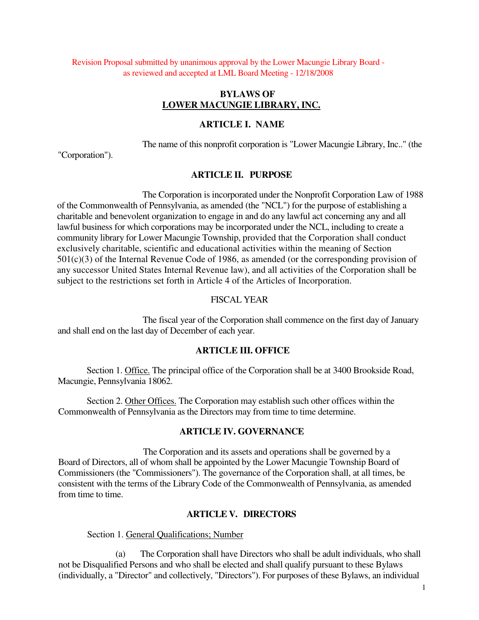Revision Proposal submitted by unanimous approval by the Lower Macungie Library Board as reviewed and accepted at LML Board Meeting - 12/18/2008

#### **BYLAWS OF LOWER MACUNGIE LIBRARY, INC.**

#### **ARTICLE I. NAME**

The name of this nonprofit corporation is "Lower Macungie Library, Inc.." (the

"Corporation").

#### **ARTICLE II. PURPOSE**

The Corporation is incorporated under the Nonprofit Corporation Law of 1988 of the Commonwealth of Pennsylvania, as amended (the "NCL") for the purpose of establishing a charitable and benevolent organization to engage in and do any lawful act concerning any and all lawful business for which corporations may be incorporated under the NCL, including to create a community library for Lower Macungie Township, provided that the Corporation shall conduct exclusively charitable, scientific and educational activities within the meaning of Section 501(c)(3) of the Internal Revenue Code of 1986, as amended (or the corresponding provision of any successor United States Internal Revenue law), and all activities of the Corporation shall be subject to the restrictions set forth in Article 4 of the Articles of Incorporation.

#### FISCAL YEAR

The fiscal year of the Corporation shall commence on the first day of January and shall end on the last day of December of each year.

#### **ARTICLE III. OFFICE**

Section 1. Office. The principal office of the Corporation shall be at 3400 Brookside Road, Macungie, Pennsylvania 18062.

Section 2. Other Offices. The Corporation may establish such other offices within the Commonwealth of Pennsylvania as the Directors may from time to time determine.

## **ARTICLE IV. GOVERNANCE**

The Corporation and its assets and operations shall be governed by a Board of Directors, all of whom shall be appointed by the Lower Macungie Township Board of Commissioners (the "Commissioners"). The governance of the Corporation shall, at all times, be consistent with the terms of the Library Code of the Commonwealth of Pennsylvania, as amended from time to time.

#### **ARTICLE V. DIRECTORS**

Section 1. General Qualifications; Number

(a) The Corporation shall have Directors who shall be adult individuals, who shall not be Disqualified Persons and who shall be elected and shall qualify pursuant to these Bylaws (individually, a "Director" and collectively, "Directors"). For purposes of these Bylaws, an individual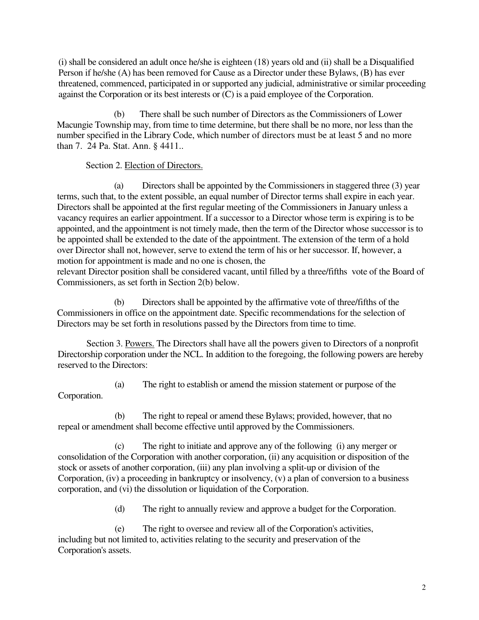(i) shall be considered an adult once he/she is eighteen (18) years old and (ii) shall be a Disqualified Person if he/she (A) has been removed for Cause as a Director under these Bylaws, (B) has ever threatened, commenced, participated in or supported any judicial, administrative or similar proceeding against the Corporation or its best interests or (C) is a paid employee of the Corporation.

(b) There shall be such number of Directors as the Commissioners of Lower Macungie Township may, from time to time determine, but there shall be no more, nor less than the number specified in the Library Code, which number of directors must be at least 5 and no more than 7. 24 Pa. Stat. Ann. § 4411..

## Section 2. Election of Directors.

(a) Directors shall be appointed by the Commissioners in staggered three (3) year terms, such that, to the extent possible, an equal number of Director terms shall expire in each year. Directors shall be appointed at the first regular meeting of the Commissioners in January unless a vacancy requires an earlier appointment. If a successor to a Director whose term is expiring is to be appointed, and the appointment is not timely made, then the term of the Director whose successor is to be appointed shall be extended to the date of the appointment. The extension of the term of a hold over Director shall not, however, serve to extend the term of his or her successor. If, however, a motion for appointment is made and no one is chosen, the

relevant Director position shall be considered vacant, until filled by a three/fifths vote of the Board of Commissioners, as set forth in Section 2(b) below.

(b) Directors shall be appointed by the affirmative vote of three/fifths of the Commissioners in office on the appointment date. Specific recommendations for the selection of Directors may be set forth in resolutions passed by the Directors from time to time.

Section 3. Powers. The Directors shall have all the powers given to Directors of a nonprofit Directorship corporation under the NCL. In addition to the foregoing, the following powers are hereby reserved to the Directors:

(a) The right to establish or amend the mission statement or purpose of the Corporation.

(b) The right to repeal or amend these Bylaws; provided, however, that no repeal or amendment shall become effective until approved by the Commissioners.

(c) The right to initiate and approve any of the following (i) any merger or consolidation of the Corporation with another corporation, (ii) any acquisition or disposition of the stock or assets of another corporation, (iii) any plan involving a split-up or division of the Corporation, (iv) a proceeding in bankruptcy or insolvency, (v) a plan of conversion to a business corporation, and (vi) the dissolution or liquidation of the Corporation.

(d) The right to annually review and approve a budget for the Corporation.

(e) The right to oversee and review all of the Corporation's activities, including but not limited to, activities relating to the security and preservation of the Corporation's assets.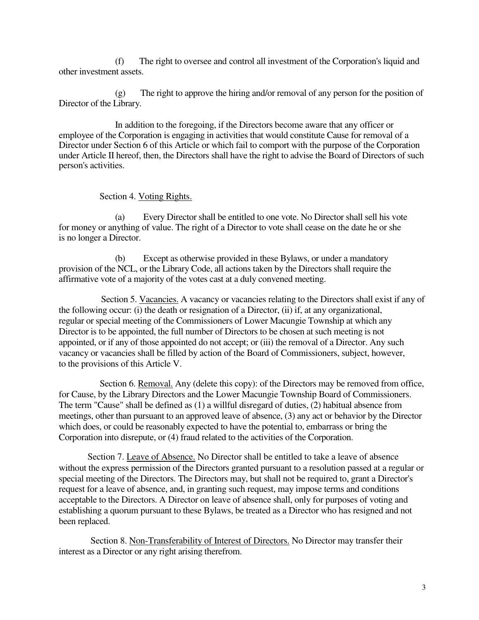(f) The right to oversee and control all investment of the Corporation's liquid and other investment assets.

(g) The right to approve the hiring and/or removal of any person for the position of Director of the Library.

In addition to the foregoing, if the Directors become aware that any officer or employee of the Corporation is engaging in activities that would constitute Cause for removal of a Director under Section 6 of this Article or which fail to comport with the purpose of the Corporation under Article II hereof, then, the Directors shall have the right to advise the Board of Directors of such person's activities.

Section 4. Voting Rights.

(a) Every Director shall be entitled to one vote. No Director shall sell his vote for money or anything of value. The right of a Director to vote shall cease on the date he or she is no longer a Director.

(b) Except as otherwise provided in these Bylaws, or under a mandatory provision of the NCL, or the Library Code, all actions taken by the Directors shall require the affirmative vote of a majority of the votes cast at a duly convened meeting.

Section 5. Vacancies. A vacancy or vacancies relating to the Directors shall exist if any of the following occur: (i) the death or resignation of a Director, (ii) if, at any organizational, regular or special meeting of the Commissioners of Lower Macungie Township at which any Director is to be appointed, the full number of Directors to be chosen at such meeting is not appointed, or if any of those appointed do not accept; or (iii) the removal of a Director. Any such vacancy or vacancies shall be filled by action of the Board of Commissioners, subject, however, to the provisions of this Article V.

Section 6. Removal. Any (delete this copy): of the Directors may be removed from office, for Cause, by the Library Directors and the Lower Macungie Township Board of Commissioners. The term "Cause" shall be defined as (1) a willful disregard of duties, (2) habitual absence from meetings, other than pursuant to an approved leave of absence, (3) any act or behavior by the Director which does, or could be reasonably expected to have the potential to, embarrass or bring the Corporation into disrepute, or (4) fraud related to the activities of the Corporation.

Section 7. Leave of Absence. No Director shall be entitled to take a leave of absence without the express permission of the Directors granted pursuant to a resolution passed at a regular or special meeting of the Directors. The Directors may, but shall not be required to, grant a Director's request for a leave of absence, and, in granting such request, may impose terms and conditions acceptable to the Directors. A Director on leave of absence shall, only for purposes of voting and establishing a quorum pursuant to these Bylaws, be treated as a Director who has resigned and not been replaced.

Section 8. Non-Transferability of Interest of Directors. No Director may transfer their interest as a Director or any right arising therefrom.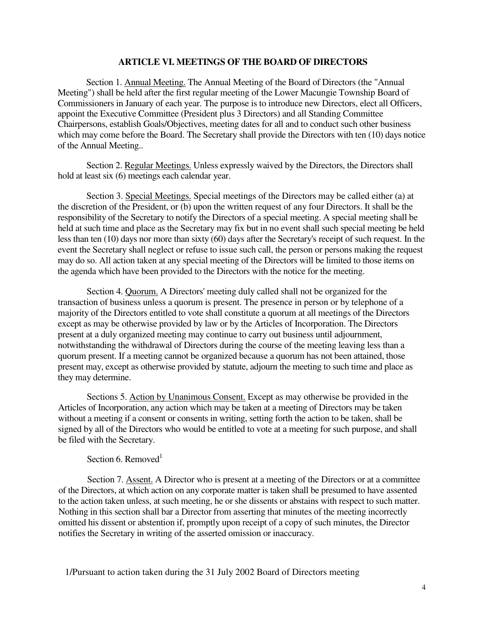#### **ARTICLE VI. MEETINGS OF THE BOARD OF DIRECTORS**

Section 1. Annual Meeting. The Annual Meeting of the Board of Directors (the "Annual Meeting") shall be held after the first regular meeting of the Lower Macungie Township Board of Commissioners in January of each year. The purpose is to introduce new Directors, elect all Officers, appoint the Executive Committee (President plus 3 Directors) and all Standing Committee Chairpersons, establish Goals/Objectives, meeting dates for all and to conduct such other business which may come before the Board. The Secretary shall provide the Directors with ten (10) days notice of the Annual Meeting..

Section 2. Regular Meetings. Unless expressly waived by the Directors, the Directors shall hold at least six (6) meetings each calendar year.

Section 3. Special Meetings. Special meetings of the Directors may be called either (a) at the discretion of the President, or (b) upon the written request of any four Directors. It shall be the responsibility of the Secretary to notify the Directors of a special meeting. A special meeting shall be held at such time and place as the Secretary may fix but in no event shall such special meeting be held less than ten (10) days nor more than sixty (60) days after the Secretary's receipt of such request. In the event the Secretary shall neglect or refuse to issue such call, the person or persons making the request may do so. All action taken at any special meeting of the Directors will be limited to those items on the agenda which have been provided to the Directors with the notice for the meeting.

Section 4. Quorum. A Directors' meeting duly called shall not be organized for the transaction of business unless a quorum is present. The presence in person or by telephone of a majority of the Directors entitled to vote shall constitute a quorum at all meetings of the Directors except as may be otherwise provided by law or by the Articles of Incorporation. The Directors present at a duly organized meeting may continue to carry out business until adjournment, notwithstanding the withdrawal of Directors during the course of the meeting leaving less than a quorum present. If a meeting cannot be organized because a quorum has not been attained, those present may, except as otherwise provided by statute, adjourn the meeting to such time and place as they may determine.

Sections 5. Action by Unanimous Consent. Except as may otherwise be provided in the Articles of Incorporation, any action which may be taken at a meeting of Directors may be taken without a meeting if a consent or consents in writing, setting forth the action to be taken, shall be signed by all of the Directors who would be entitled to vote at a meeting for such purpose, and shall be filed with the Secretary.

## Section 6. Removed<sup>1</sup>

Section 7. Assent. A Director who is present at a meeting of the Directors or at a committee of the Directors, at which action on any corporate matter is taken shall be presumed to have assented to the action taken unless, at such meeting, he or she dissents or abstains with respect to such matter. Nothing in this section shall bar a Director from asserting that minutes of the meeting incorrectly omitted his dissent or abstention if, promptly upon receipt of a copy of such minutes, the Director notifies the Secretary in writing of the asserted omission or inaccuracy.

1/Pursuant to action taken during the 31 July 2002 Board of Directors meeting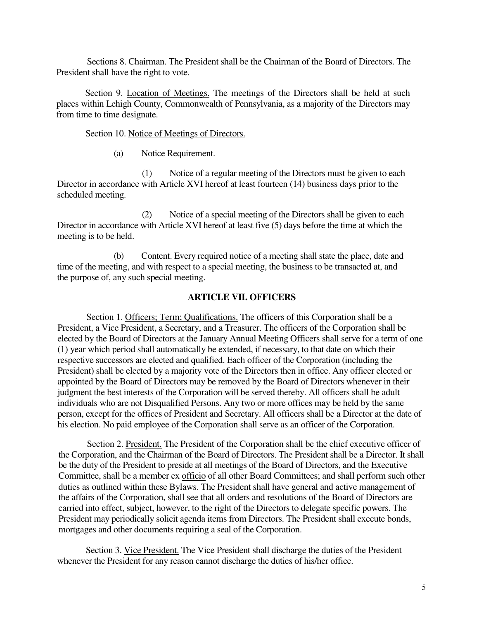Sections 8. Chairman. The President shall be the Chairman of the Board of Directors. The President shall have the right to vote.

Section 9. Location of Meetings. The meetings of the Directors shall be held at such places within Lehigh County, Commonwealth of Pennsylvania, as a majority of the Directors may from time to time designate.

### Section 10. Notice of Meetings of Directors.

(a) Notice Requirement.

(1) Notice of a regular meeting of the Directors must be given to each Director in accordance with Article XVI hereof at least fourteen (14) business days prior to the scheduled meeting.

(2) Notice of a special meeting of the Directors shall be given to each Director in accordance with Article XVI hereof at least five (5) days before the time at which the meeting is to be held.

(b) Content. Every required notice of a meeting shall state the place, date and time of the meeting, and with respect to a special meeting, the business to be transacted at, and the purpose of, any such special meeting.

## **ARTICLE VII. OFFICERS**

Section 1. Officers; Term; Qualifications. The officers of this Corporation shall be a President, a Vice President, a Secretary, and a Treasurer. The officers of the Corporation shall be elected by the Board of Directors at the January Annual Meeting Officers shall serve for a term of one (1) year which period shall automatically be extended, if necessary, to that date on which their respective successors are elected and qualified. Each officer of the Corporation (including the President) shall be elected by a majority vote of the Directors then in office. Any officer elected or appointed by the Board of Directors may be removed by the Board of Directors whenever in their judgment the best interests of the Corporation will be served thereby. All officers shall be adult individuals who are not Disqualified Persons. Any two or more offices may be held by the same person, except for the offices of President and Secretary. All officers shall be a Director at the date of his election. No paid employee of the Corporation shall serve as an officer of the Corporation.

Section 2. President. The President of the Corporation shall be the chief executive officer of the Corporation, and the Chairman of the Board of Directors. The President shall be a Director. It shall be the duty of the President to preside at all meetings of the Board of Directors, and the Executive Committee, shall be a member ex officio of all other Board Committees; and shall perform such other duties as outlined within these Bylaws. The President shall have general and active management of the affairs of the Corporation, shall see that all orders and resolutions of the Board of Directors are carried into effect, subject, however, to the right of the Directors to delegate specific powers. The President may periodically solicit agenda items from Directors. The President shall execute bonds, mortgages and other documents requiring a seal of the Corporation.

Section 3. Vice President. The Vice President shall discharge the duties of the President whenever the President for any reason cannot discharge the duties of his/her office.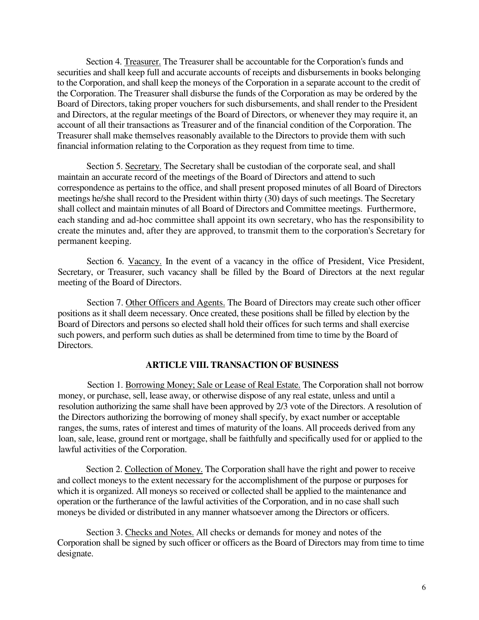Section 4. Treasurer. The Treasurer shall be accountable for the Corporation's funds and securities and shall keep full and accurate accounts of receipts and disbursements in books belonging to the Corporation, and shall keep the moneys of the Corporation in a separate account to the credit of the Corporation. The Treasurer shall disburse the funds of the Corporation as may be ordered by the Board of Directors, taking proper vouchers for such disbursements, and shall render to the President and Directors, at the regular meetings of the Board of Directors, or whenever they may require it, an account of all their transactions as Treasurer and of the financial condition of the Corporation. The Treasurer shall make themselves reasonably available to the Directors to provide them with such financial information relating to the Corporation as they request from time to time.

Section 5. Secretary. The Secretary shall be custodian of the corporate seal, and shall maintain an accurate record of the meetings of the Board of Directors and attend to such correspondence as pertains to the office, and shall present proposed minutes of all Board of Directors meetings he/she shall record to the President within thirty (30) days of such meetings. The Secretary shall collect and maintain minutes of all Board of Directors and Committee meetings. Furthermore, each standing and ad-hoc committee shall appoint its own secretary, who has the responsibility to create the minutes and, after they are approved, to transmit them to the corporation's Secretary for permanent keeping.

Section 6. Vacancy. In the event of a vacancy in the office of President, Vice President, Secretary, or Treasurer, such vacancy shall be filled by the Board of Directors at the next regular meeting of the Board of Directors.

Section 7. Other Officers and Agents. The Board of Directors may create such other officer positions as it shall deem necessary. Once created, these positions shall be filled by election by the Board of Directors and persons so elected shall hold their offices for such terms and shall exercise such powers, and perform such duties as shall be determined from time to time by the Board of Directors.

#### **ARTICLE VIII. TRANSACTION OF BUSINESS**

Section 1. Borrowing Money; Sale or Lease of Real Estate. The Corporation shall not borrow money, or purchase, sell, lease away, or otherwise dispose of any real estate, unless and until a resolution authorizing the same shall have been approved by 2/3 vote of the Directors. A resolution of the Directors authorizing the borrowing of money shall specify, by exact number or acceptable ranges, the sums, rates of interest and times of maturity of the loans. All proceeds derived from any loan, sale, lease, ground rent or mortgage, shall be faithfully and specifically used for or applied to the lawful activities of the Corporation.

Section 2. Collection of Money. The Corporation shall have the right and power to receive and collect moneys to the extent necessary for the accomplishment of the purpose or purposes for which it is organized. All moneys so received or collected shall be applied to the maintenance and operation or the furtherance of the lawful activities of the Corporation, and in no case shall such moneys be divided or distributed in any manner whatsoever among the Directors or officers.

Section 3. Checks and Notes. All checks or demands for money and notes of the Corporation shall be signed by such officer or officers as the Board of Directors may from time to time designate.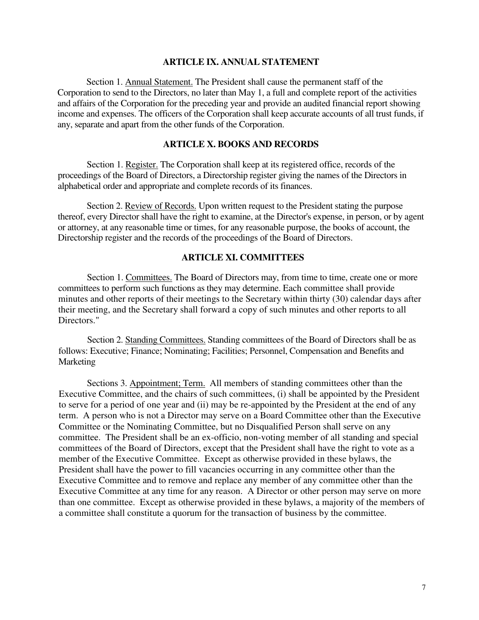#### **ARTICLE IX. ANNUAL STATEMENT**

Section 1. Annual Statement. The President shall cause the permanent staff of the Corporation to send to the Directors, no later than May 1, a full and complete report of the activities and affairs of the Corporation for the preceding year and provide an audited financial report showing income and expenses. The officers of the Corporation shall keep accurate accounts of all trust funds, if any, separate and apart from the other funds of the Corporation.

## **ARTICLE X. BOOKS AND RECORDS**

Section 1. Register. The Corporation shall keep at its registered office, records of the proceedings of the Board of Directors, a Directorship register giving the names of the Directors in alphabetical order and appropriate and complete records of its finances.

Section 2. Review of Records. Upon written request to the President stating the purpose thereof, every Director shall have the right to examine, at the Director's expense, in person, or by agent or attorney, at any reasonable time or times, for any reasonable purpose, the books of account, the Directorship register and the records of the proceedings of the Board of Directors.

## **ARTICLE XI. COMMITTEES**

Section 1. Committees. The Board of Directors may, from time to time, create one or more committees to perform such functions as they may determine. Each committee shall provide minutes and other reports of their meetings to the Secretary within thirty (30) calendar days after their meeting, and the Secretary shall forward a copy of such minutes and other reports to all Directors."

Section 2. Standing Committees. Standing committees of the Board of Directors shall be as follows: Executive; Finance; Nominating; Facilities; Personnel, Compensation and Benefits and Marketing

Sections 3. Appointment; Term. All members of standing committees other than the Executive Committee, and the chairs of such committees, (i) shall be appointed by the President to serve for a period of one year and (ii) may be re-appointed by the President at the end of any term. A person who is not a Director may serve on a Board Committee other than the Executive Committee or the Nominating Committee, but no Disqualified Person shall serve on any committee. The President shall be an ex-officio, non-voting member of all standing and special committees of the Board of Directors, except that the President shall have the right to vote as a member of the Executive Committee. Except as otherwise provided in these bylaws, the President shall have the power to fill vacancies occurring in any committee other than the Executive Committee and to remove and replace any member of any committee other than the Executive Committee at any time for any reason. A Director or other person may serve on more than one committee. Except as otherwise provided in these bylaws, a majority of the members of a committee shall constitute a quorum for the transaction of business by the committee.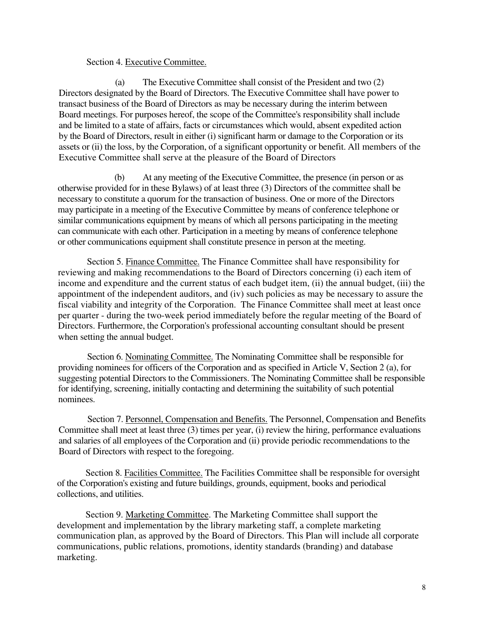## Section 4. Executive Committee.

(a) The Executive Committee shall consist of the President and two (2) Directors designated by the Board of Directors. The Executive Committee shall have power to transact business of the Board of Directors as may be necessary during the interim between Board meetings. For purposes hereof, the scope of the Committee's responsibility shall include and be limited to a state of affairs, facts or circumstances which would, absent expedited action by the Board of Directors, result in either (i) significant harm or damage to the Corporation or its assets or (ii) the loss, by the Corporation, of a significant opportunity or benefit. All members of the Executive Committee shall serve at the pleasure of the Board of Directors

(b) At any meeting of the Executive Committee, the presence (in person or as otherwise provided for in these Bylaws) of at least three (3) Directors of the committee shall be necessary to constitute a quorum for the transaction of business. One or more of the Directors may participate in a meeting of the Executive Committee by means of conference telephone or similar communications equipment by means of which all persons participating in the meeting can communicate with each other. Participation in a meeting by means of conference telephone or other communications equipment shall constitute presence in person at the meeting.

Section 5. Finance Committee. The Finance Committee shall have responsibility for reviewing and making recommendations to the Board of Directors concerning (i) each item of income and expenditure and the current status of each budget item, (ii) the annual budget, (iii) the appointment of the independent auditors, and (iv) such policies as may be necessary to assure the fiscal viability and integrity of the Corporation. The Finance Committee shall meet at least once per quarter - during the two-week period immediately before the regular meeting of the Board of Directors. Furthermore, the Corporation's professional accounting consultant should be present when setting the annual budget.

Section 6. Nominating Committee. The Nominating Committee shall be responsible for providing nominees for officers of the Corporation and as specified in Article V, Section 2 (a), for suggesting potential Directors to the Commissioners. The Nominating Committee shall be responsible for identifying, screening, initially contacting and determining the suitability of such potential nominees.

Section 7. Personnel, Compensation and Benefits. The Personnel, Compensation and Benefits Committee shall meet at least three (3) times per year, (i) review the hiring, performance evaluations and salaries of all employees of the Corporation and (ii) provide periodic recommendations to the Board of Directors with respect to the foregoing.

Section 8. Facilities Committee. The Facilities Committee shall be responsible for oversight of the Corporation's existing and future buildings, grounds, equipment, books and periodical collections, and utilities.

Section 9. Marketing Committee. The Marketing Committee shall support the development and implementation by the library marketing staff, a complete marketing communication plan, as approved by the Board of Directors. This Plan will include all corporate communications, public relations, promotions, identity standards (branding) and database marketing.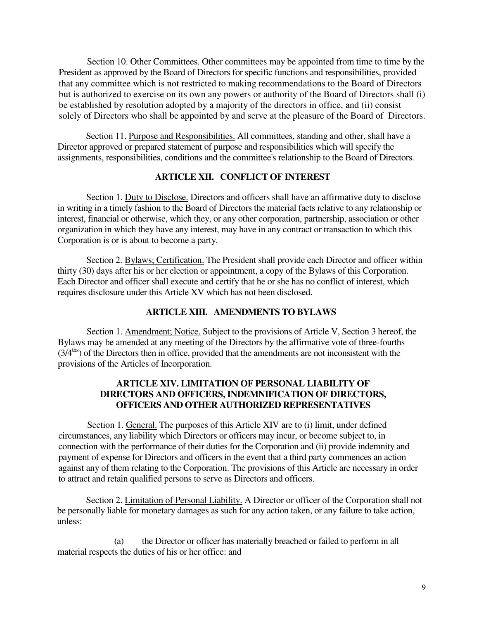Section 10. Other Committees. Other committees may be appointed from time to time by the President as approved by the Board of Directors for specific functions and responsibilities, provided that any committee which is not restricted to making recommendations to the Board of Directors but is authorized to exercise on its own any powers or authority of the Board of Directors shall (i) be established by resolution adopted by a majority of the directors in office, and (ii) consist solely of Directors who shall be appointed by and serve at the pleasure of the Board of Directors.

Section 11. Purpose and Responsibilities. All committees, standing and other, shall have a Director approved or prepared statement of purpose and responsibilities which will specify the assignments, responsibilities, conditions and the committee's relationship to the Board of Directors.

## **ARTICLE XII. CONFLICT OF INTEREST**

Section 1. Duty to Disclose. Directors and officers shall have an affirmative duty to disclose in writing in a timely fashion to the Board of Directors the material facts relative to any relationship or interest, financial or otherwise, which they, or any other corporation, partnership, association or other organization in which they have any interest, may have in any contract or transaction to which this Corporation is or is about to become a party.

Section 2. Bylaws; Certification. The President shall provide each Director and officer within thirty (30) days after his or her election or appointment, a copy of the Bylaws of this Corporation. Each Director and officer shall execute and certify that he or she has no conflict of interest, which requires disclosure under this Article XV which has not been disclosed.

### **ARTICLE XIII. AMENDMENTS TO BYLAWS**

Section 1. Amendment; Notice. Subject to the provisions of Article V, Section 3 hereof, the Bylaws may be amended at any meeting of the Directors by the affirmative vote of three-fourths  $(3/4<sup>ths</sup>)$  of the Directors then in office, provided that the amendments are not inconsistent with the provisions of the Articles of Incorporation.

## **ARTICLE XIV. LIMITATION OF PERSONAL LIABILITY OF DIRECTORS AND OFFICERS, INDEMNIFICATION OF DIRECTORS, OFFICERS AND OTHER AUTHORIZED REPRESENTATIVES**

Section 1. General. The purposes of this Article XIV are to (i) limit, under defined circumstances, any liability which Directors or officers may incur, or become subject to, in connection with the performance of their duties for the Corporation and (ii) provide indemnity and payment of expense for Directors and officers in the event that a third party commences an action against any of them relating to the Corporation. The provisions of this Article are necessary in order to attract and retain qualified persons to serve as Directors and officers.

Section 2. Limitation of Personal Liability. A Director or officer of the Corporation shall not be personally liable for monetary damages as such for any action taken, or any failure to take action, unless:

(a) the Director or officer has materially breached or failed to perform in all material respects the duties of his or her office: and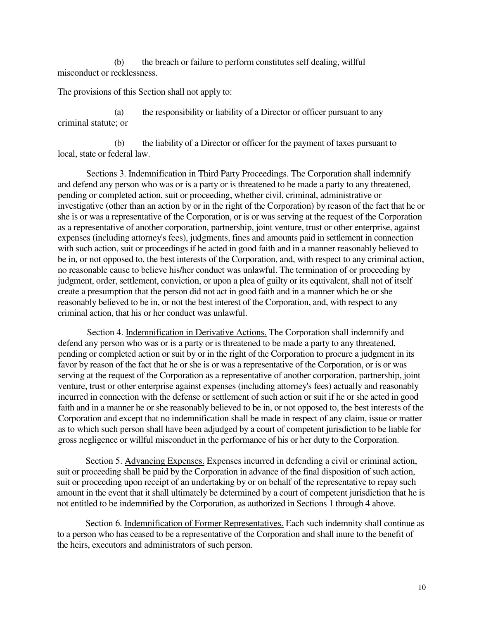(b) the breach or failure to perform constitutes self dealing, willful misconduct or recklessness.

The provisions of this Section shall not apply to:

(a) the responsibility or liability of a Director or officer pursuant to any criminal statute; or

(b) the liability of a Director or officer for the payment of taxes pursuant to local, state or federal law.

Sections 3. Indemnification in Third Party Proceedings. The Corporation shall indemnify and defend any person who was or is a party or is threatened to be made a party to any threatened, pending or completed action, suit or proceeding, whether civil, criminal, administrative or investigative (other than an action by or in the right of the Corporation) by reason of the fact that he or she is or was a representative of the Corporation, or is or was serving at the request of the Corporation as a representative of another corporation, partnership, joint venture, trust or other enterprise, against expenses (including attorney's fees), judgments, fines and amounts paid in settlement in connection with such action, suit or proceedings if he acted in good faith and in a manner reasonably believed to be in, or not opposed to, the best interests of the Corporation, and, with respect to any criminal action, no reasonable cause to believe his/her conduct was unlawful. The termination of or proceeding by judgment, order, settlement, conviction, or upon a plea of guilty or its equivalent, shall not of itself create a presumption that the person did not act in good faith and in a manner which he or she reasonably believed to be in, or not the best interest of the Corporation, and, with respect to any criminal action, that his or her conduct was unlawful.

Section 4. Indemnification in Derivative Actions. The Corporation shall indemnify and defend any person who was or is a party or is threatened to be made a party to any threatened, pending or completed action or suit by or in the right of the Corporation to procure a judgment in its favor by reason of the fact that he or she is or was a representative of the Corporation, or is or was serving at the request of the Corporation as a representative of another corporation, partnership, joint venture, trust or other enterprise against expenses (including attorney's fees) actually and reasonably incurred in connection with the defense or settlement of such action or suit if he or she acted in good faith and in a manner he or she reasonably believed to be in, or not opposed to, the best interests of the Corporation and except that no indemnification shall be made in respect of any claim, issue or matter as to which such person shall have been adjudged by a court of competent jurisdiction to be liable for gross negligence or willful misconduct in the performance of his or her duty to the Corporation.

Section 5. Advancing Expenses. Expenses incurred in defending a civil or criminal action, suit or proceeding shall be paid by the Corporation in advance of the final disposition of such action, suit or proceeding upon receipt of an undertaking by or on behalf of the representative to repay such amount in the event that it shall ultimately be determined by a court of competent jurisdiction that he is not entitled to be indemnified by the Corporation, as authorized in Sections 1 through 4 above.

Section 6. Indemnification of Former Representatives. Each such indemnity shall continue as to a person who has ceased to be a representative of the Corporation and shall inure to the benefit of the heirs, executors and administrators of such person.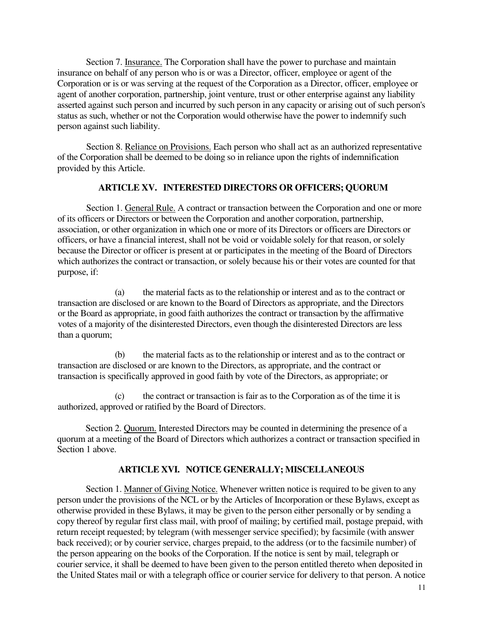Section 7. Insurance. The Corporation shall have the power to purchase and maintain insurance on behalf of any person who is or was a Director, officer, employee or agent of the Corporation or is or was serving at the request of the Corporation as a Director, officer, employee or agent of another corporation, partnership, joint venture, trust or other enterprise against any liability asserted against such person and incurred by such person in any capacity or arising out of such person's status as such, whether or not the Corporation would otherwise have the power to indemnify such person against such liability.

Section 8. Reliance on Provisions. Each person who shall act as an authorized representative of the Corporation shall be deemed to be doing so in reliance upon the rights of indemnification provided by this Article.

## **ARTICLE XV. INTERESTED DIRECTORS OR OFFICERS; QUORUM**

Section 1. General Rule. A contract or transaction between the Corporation and one or more of its officers or Directors or between the Corporation and another corporation, partnership, association, or other organization in which one or more of its Directors or officers are Directors or officers, or have a financial interest, shall not be void or voidable solely for that reason, or solely because the Director or officer is present at or participates in the meeting of the Board of Directors which authorizes the contract or transaction, or solely because his or their votes are counted for that purpose, if:

(a) the material facts as to the relationship or interest and as to the contract or transaction are disclosed or are known to the Board of Directors as appropriate, and the Directors or the Board as appropriate, in good faith authorizes the contract or transaction by the affirmative votes of a majority of the disinterested Directors, even though the disinterested Directors are less than a quorum;

(b) the material facts as to the relationship or interest and as to the contract or transaction are disclosed or are known to the Directors, as appropriate, and the contract or transaction is specifically approved in good faith by vote of the Directors, as appropriate; or

(c) the contract or transaction is fair as to the Corporation as of the time it is authorized, approved or ratified by the Board of Directors.

Section 2. Quorum. Interested Directors may be counted in determining the presence of a quorum at a meeting of the Board of Directors which authorizes a contract or transaction specified in Section 1 above.

# **ARTICLE XVI. NOTICE GENERALLY; MISCELLANEOUS**

Section 1. Manner of Giving Notice. Whenever written notice is required to be given to any person under the provisions of the NCL or by the Articles of Incorporation or these Bylaws, except as otherwise provided in these Bylaws, it may be given to the person either personally or by sending a copy thereof by regular first class mail, with proof of mailing; by certified mail, postage prepaid, with return receipt requested; by telegram (with messenger service specified); by facsimile (with answer back received); or by courier service, charges prepaid, to the address (or to the facsimile number) of the person appearing on the books of the Corporation. If the notice is sent by mail, telegraph or courier service, it shall be deemed to have been given to the person entitled thereto when deposited in the United States mail or with a telegraph office or courier service for delivery to that person. A notice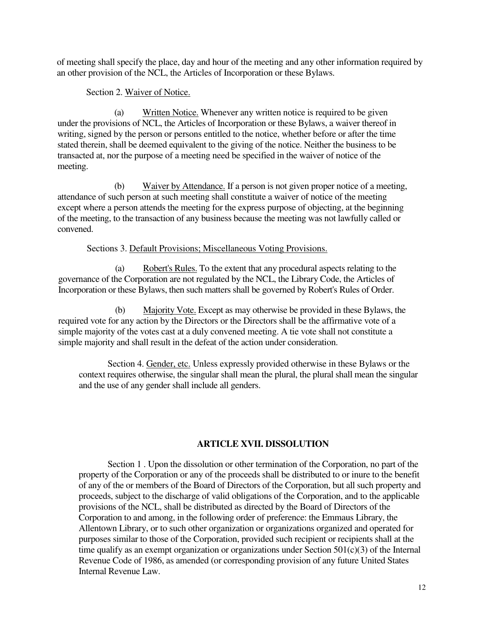of meeting shall specify the place, day and hour of the meeting and any other information required by an other provision of the NCL, the Articles of Incorporation or these Bylaws.

Section 2. Waiver of Notice.

(a) Written Notice. Whenever any written notice is required to be given under the provisions of NCL, the Articles of Incorporation or these Bylaws, a waiver thereof in writing, signed by the person or persons entitled to the notice, whether before or after the time stated therein, shall be deemed equivalent to the giving of the notice. Neither the business to be transacted at, nor the purpose of a meeting need be specified in the waiver of notice of the meeting.

(b) Waiver by Attendance. If a person is not given proper notice of a meeting, attendance of such person at such meeting shall constitute a waiver of notice of the meeting except where a person attends the meeting for the express purpose of objecting, at the beginning of the meeting, to the transaction of any business because the meeting was not lawfully called or convened.

Sections 3. Default Provisions; Miscellaneous Voting Provisions.

(a) Robert's Rules. To the extent that any procedural aspects relating to the governance of the Corporation are not regulated by the NCL, the Library Code, the Articles of Incorporation or these Bylaws, then such matters shall be governed by Robert's Rules of Order.

(b) Majority Vote. Except as may otherwise be provided in these Bylaws, the required vote for any action by the Directors or the Directors shall be the affirmative vote of a simple majority of the votes cast at a duly convened meeting. A tie vote shall not constitute a simple majority and shall result in the defeat of the action under consideration.

Section 4. Gender, etc. Unless expressly provided otherwise in these Bylaws or the context requires otherwise, the singular shall mean the plural, the plural shall mean the singular and the use of any gender shall include all genders.

## **ARTICLE XVII. DISSOLUTION**

Section 1 . Upon the dissolution or other termination of the Corporation, no part of the property of the Corporation or any of the proceeds shall be distributed to or inure to the benefit of any of the or members of the Board of Directors of the Corporation, but all such property and proceeds, subject to the discharge of valid obligations of the Corporation, and to the applicable provisions of the NCL, shall be distributed as directed by the Board of Directors of the Corporation to and among, in the following order of preference: the Emmaus Library, the Allentown Library, or to such other organization or organizations organized and operated for purposes similar to those of the Corporation, provided such recipient or recipients shall at the time qualify as an exempt organization or organizations under Section 501(c)(3) of the Internal Revenue Code of 1986, as amended (or corresponding provision of any future United States Internal Revenue Law.